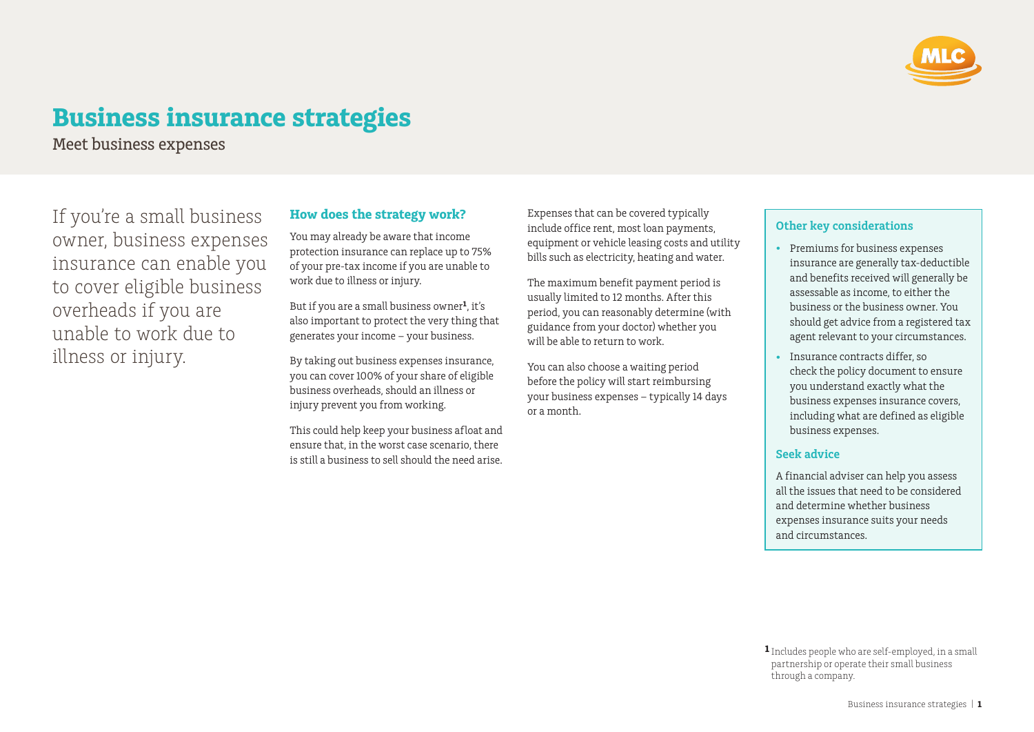

# **Business insurance strategies**

Meet business expenses

If you're a small business owner, business expenses insurance can enable you to cover eligible business overheads if you are unable to work due to illness or injury.

# **How does the strategy work?**

You may already be aware that income protection insurance can replace up to 75% of your pre-tax income if you are unable to work due to illness or injury.

But if you are a small business owner**1**, it's also important to protect the very thing that generates your income – your business.

By taking out business expenses insurance, you can cover 100% of your share of eligible business overheads, should an illness or injury prevent you from working.

This could help keep your business afloat and ensure that, in the worst case scenario, there is still a business to sell should the need arise. Expenses that can be covered typically include office rent, most loan payments, equipment or vehicle leasing costs and utility bills such as electricity, heating and water.

The maximum benefit payment period is usually limited to 12 months. After this period, you can reasonably determine (with guidance from your doctor) whether you will be able to return to work.

You can also choose a waiting period before the policy will start reimbursing your business expenses – typically 14 days or a month.

# **Other key considerations**

- Premiums for business expenses insurance are generally tax-deductible and benefits received will generally be assessable as income, to either the business or the business owner. You should get advice from a registered tax agent relevant to your circumstances.
- Insurance contracts differ, so check the policy document to ensure you understand exactly what the business expenses insurance covers, including what are defined as eligible business expenses.

### **Seek advice**

A financial adviser can help you assess all the issues that need to be considered and determine whether business expenses insurance suits your needs and circumstances.

**1** Includes people who are self-employed, in a small partnership or operate their small business through a company.